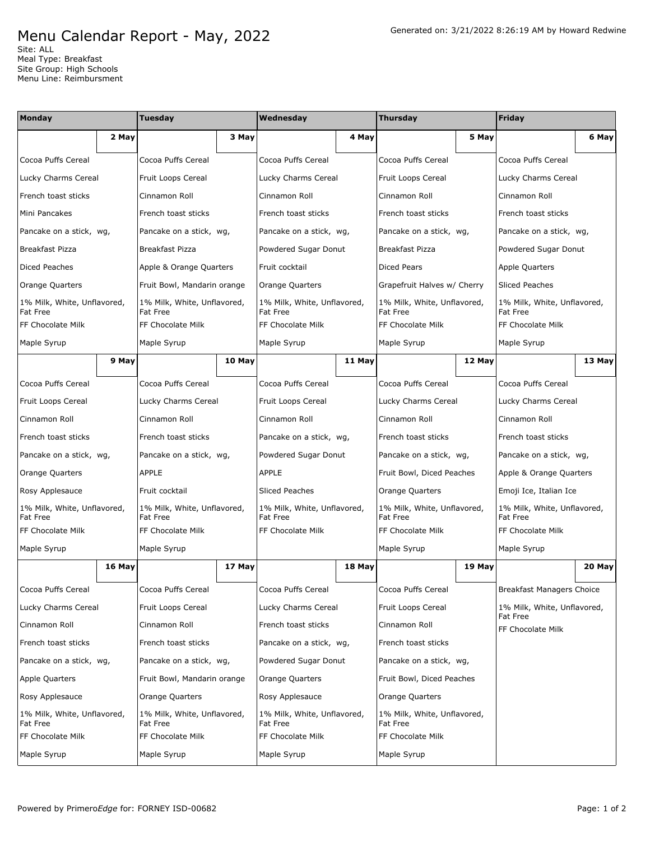## Menu Calendar Report - May, 2022

Site: ALL Meal Type: Breakfast Site Group: High Schools Menu Line: Reimbursment

| Monday                                  |        | Tuesday                                 |        | Wednesday                               |        | <b>Thursday</b>                                |        | Friday                                         |        |
|-----------------------------------------|--------|-----------------------------------------|--------|-----------------------------------------|--------|------------------------------------------------|--------|------------------------------------------------|--------|
|                                         | 2 May  |                                         | 3 May  |                                         | 4 May  |                                                | 5 May  |                                                | 6 May  |
| Cocoa Puffs Cereal                      |        | Cocoa Puffs Cereal                      |        | Cocoa Puffs Cereal                      |        | Cocoa Puffs Cereal                             |        | Cocoa Puffs Cereal                             |        |
| Lucky Charms Cereal                     |        | Fruit Loops Cereal                      |        | Lucky Charms Cereal                     |        | Fruit Loops Cereal                             |        | Lucky Charms Cereal                            |        |
| French toast sticks                     |        | Cinnamon Roll                           |        | Cinnamon Roll                           |        | Cinnamon Roll                                  |        | Cinnamon Roll                                  |        |
| Mini Pancakes                           |        | French toast sticks                     |        | French toast sticks                     |        | French toast sticks                            |        | French toast sticks                            |        |
| Pancake on a stick, wg,                 |        | Pancake on a stick, wg,                 |        | Pancake on a stick, wg,                 |        | Pancake on a stick, wg,                        |        | Pancake on a stick, wg,                        |        |
| Breakfast Pizza                         |        | <b>Breakfast Pizza</b>                  |        | Powdered Sugar Donut                    |        | <b>Breakfast Pizza</b>                         |        | Powdered Sugar Donut                           |        |
| Diced Peaches                           |        | Apple & Orange Quarters                 |        | Fruit cocktail                          |        | <b>Diced Pears</b>                             |        | Apple Quarters                                 |        |
| Orange Quarters                         |        | Fruit Bowl, Mandarin orange             |        | Orange Quarters                         |        | Grapefruit Halves w/ Cherry                    |        | <b>Sliced Peaches</b>                          |        |
| 1% Milk, White, Unflavored,<br>Fat Free |        | 1% Milk, White, Unflavored,<br>Fat Free |        | 1% Milk, White, Unflavored,<br>Fat Free |        | 1% Milk, White, Unflavored,<br>Fat Free        |        | 1% Milk, White, Unflavored,<br>Fat Free        |        |
| FF Chocolate Milk                       |        | FF Chocolate Milk                       |        | FF Chocolate Milk                       |        | FF Chocolate Milk                              |        | FF Chocolate Milk                              |        |
| Maple Syrup                             |        | Maple Syrup                             |        | Maple Syrup                             |        | Maple Syrup                                    |        | Maple Syrup                                    |        |
|                                         | 9 May  |                                         | 10 May |                                         | 11 May |                                                | 12 May |                                                | 13 May |
| Cocoa Puffs Cereal                      |        | Cocoa Puffs Cereal                      |        | Cocoa Puffs Cereal                      |        | Cocoa Puffs Cereal                             |        | Cocoa Puffs Cereal                             |        |
| Fruit Loops Cereal                      |        | Lucky Charms Cereal                     |        | Fruit Loops Cereal                      |        | Lucky Charms Cereal                            |        | Lucky Charms Cereal                            |        |
| Cinnamon Roll                           |        | Cinnamon Roll                           |        | Cinnamon Roll                           |        | Cinnamon Roll                                  |        | Cinnamon Roll                                  |        |
| French toast sticks                     |        | French toast sticks                     |        | Pancake on a stick, wg,                 |        | French toast sticks                            |        | French toast sticks                            |        |
| Pancake on a stick, wg,                 |        | Pancake on a stick, wg,                 |        | Powdered Sugar Donut                    |        | Pancake on a stick, wg,                        |        | Pancake on a stick, wg,                        |        |
| Orange Quarters                         |        | <b>APPLE</b>                            |        | <b>APPLE</b>                            |        | Fruit Bowl, Diced Peaches                      |        | Apple & Orange Quarters                        |        |
| Rosy Applesauce                         |        | Fruit cocktail                          |        | <b>Sliced Peaches</b>                   |        | Orange Quarters                                |        | Emoji Ice, Italian Ice                         |        |
| 1% Milk, White, Unflavored,<br>Fat Free |        | 1% Milk, White, Unflavored,<br>Fat Free |        | 1% Milk, White, Unflavored,<br>Fat Free |        | 1% Milk, White, Unflavored,<br>Fat Free        |        | 1% Milk, White, Unflavored,<br>Fat Free        |        |
| FF Chocolate Milk                       |        | FF Chocolate Milk                       |        | FF Chocolate Milk                       |        | FF Chocolate Milk                              |        | FF Chocolate Milk                              |        |
| Maple Syrup                             |        | Maple Syrup                             |        |                                         |        | Maple Syrup                                    |        | Maple Syrup                                    |        |
|                                         | 16 May |                                         | 17 May |                                         | 18 May |                                                | 19 May |                                                | 20 May |
| Cocoa Puffs Cereal                      |        | Cocoa Puffs Cereal                      |        | Cocoa Puffs Cereal                      |        | Cocoa Puffs Cereal                             |        | Breakfast Managers Choice                      |        |
| Lucky Charms Cereal                     |        | Fruit Loops Cereal                      |        | Lucky Charms Cereal                     |        | Fruit Loops Cereal                             |        | 1% Milk, White, Unflavored,<br><b>Fat Free</b> |        |
| Cinnamon Roll                           |        | Cinnamon Roll                           |        | French toast sticks                     |        | Cinnamon Roll                                  |        | FF Chocolate Milk                              |        |
| French toast sticks                     |        | French toast sticks                     |        | Pancake on a stick, wg,                 |        | French toast sticks                            |        |                                                |        |
| Pancake on a stick, wg,                 |        | Pancake on a stick, wg,                 |        | Powdered Sugar Donut                    |        | Pancake on a stick, wg,                        |        |                                                |        |
| Apple Quarters                          |        | Fruit Bowl, Mandarin orange             |        | Orange Quarters                         |        | Fruit Bowl, Diced Peaches                      |        |                                                |        |
| Rosy Applesauce                         |        | Orange Quarters                         |        | Rosy Applesauce                         |        | Orange Quarters                                |        |                                                |        |
| 1% Milk, White, Unflavored,<br>Fat Free |        | 1% Milk, White, Unflavored,<br>Fat Free |        | 1% Milk, White, Unflavored,<br>Fat Free |        | 1% Milk, White, Unflavored,<br><b>Fat Free</b> |        |                                                |        |
| FF Chocolate Milk                       |        | FF Chocolate Milk                       |        | FF Chocolate Milk                       |        | FF Chocolate Milk                              |        |                                                |        |
| Maple Syrup                             |        | Maple Syrup                             |        | Maple Syrup                             |        | Maple Syrup                                    |        |                                                |        |